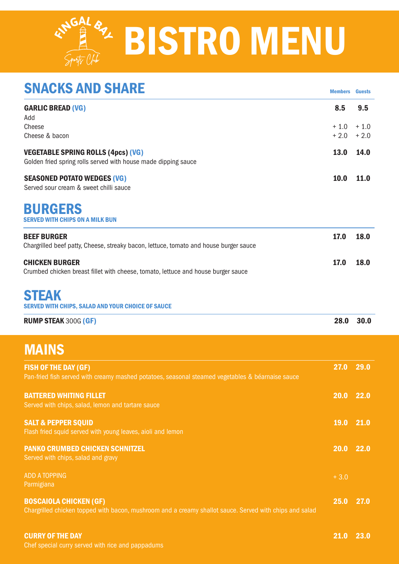## **RNGAL 87 BISTRO MENU**

| <b>SNACKS AND SHARE</b>                                                                                                                  | <b>Members</b>          | <b>Guests</b>           |
|------------------------------------------------------------------------------------------------------------------------------------------|-------------------------|-------------------------|
| <b>GARLIC BREAD (VG)</b><br>Add<br>Cheese<br>Cheese & bacon                                                                              | 8.5<br>$+1.0$<br>$+2.0$ | 9.5<br>$+1.0$<br>$+2.0$ |
| <b>VEGETABLE SPRING ROLLS (4pcs) (VG)</b><br>Golden fried spring rolls served with house made dipping sauce                              | 13.0                    | 14.0                    |
| <b>SEASONED POTATO WEDGES (VG)</b><br>Served sour cream & sweet chilli sauce                                                             | 10.0                    | 11.0                    |
| <b>BURGERS</b><br>SERVED WITH CHIPS ON A MILK BUN                                                                                        |                         |                         |
| <b>BEEF BURGER</b><br>Chargrilled beef patty, Cheese, streaky bacon, lettuce, tomato and house burger sauce                              | 17.0                    | 18.0                    |
| <b>CHICKEN BURGER</b><br>Crumbed chicken breast fillet with cheese, tomato, lettuce and house burger sauce                               | 17.0                    | 18.0                    |
| <b>STEAK</b><br>SERVED WITH CHIPS, SALAD AND YOUR CHOICE OF SAUCE                                                                        |                         |                         |
| <b>RUMP STEAK 300G (GF)</b>                                                                                                              | 28.0                    | 30.0                    |
| <b>MAINS</b>                                                                                                                             |                         |                         |
| <b>FISH OF THE DAY (GF)</b><br>Pan-fried fish served with creamy mashed potatoes, seasonal steamed vegetables & béarnaise sauce          | 27.0                    | 29.0                    |
| <b>BATTERED WHITING FILLET</b><br>Served with chips, salad, lemon and tartare sauce                                                      | $20.0$ 22.0             |                         |
| <b>SALT &amp; PEPPER SQUID</b><br>Flash fried squid served with young leaves, aioli and lemon                                            | <b>19.0</b>             | 21.0                    |
| <b>PANKO CRUMBED CHICKEN SCHNITZEL</b><br>Served with chips, salad and gravy                                                             | 20.0                    | 22.0                    |
| <b>ADD A TOPPING</b><br>Parmigiana                                                                                                       | $+3.0$                  |                         |
| <b>BOSCAIOLA CHICKEN (GF)</b><br>Chargrilled chicken topped with bacon, mushroom and a creamy shallot sauce. Served with chips and salad | 25.0                    | 27.0                    |
| <b>CURRY OF THE DAY</b>                                                                                                                  | 21.0 23.0               |                         |

Chef special curry served with rice and pappadums